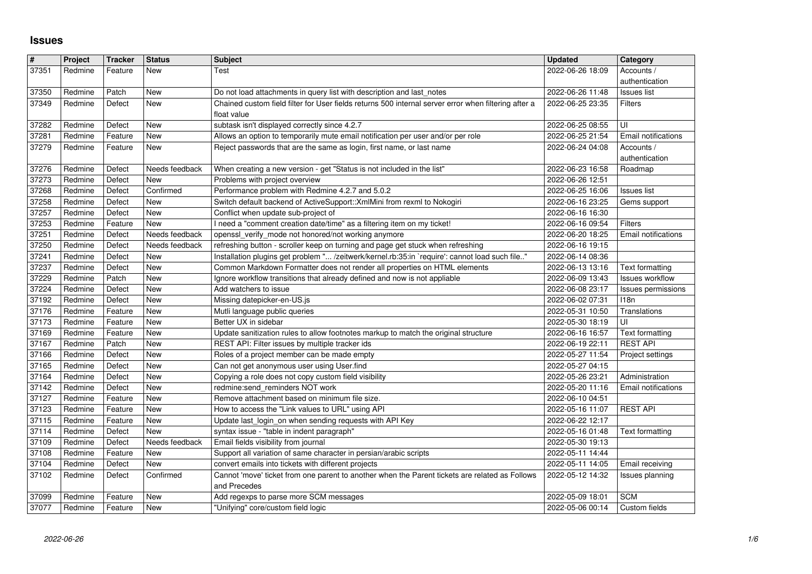## **Issues**

| #              | Project            | <b>Tracker</b>     | <b>Status</b>         | <b>Subject</b>                                                                                                                                                                    | <b>Updated</b>                       | Category                    |
|----------------|--------------------|--------------------|-----------------------|-----------------------------------------------------------------------------------------------------------------------------------------------------------------------------------|--------------------------------------|-----------------------------|
| 37351          | Redmine            | Feature            | New                   | Test                                                                                                                                                                              | 2022-06-26 18:09                     | Accounts /                  |
|                |                    |                    |                       |                                                                                                                                                                                   |                                      | authentication              |
| 37350          | Redmine            | Patch              | <b>New</b>            | Do not load attachments in query list with description and last_notes                                                                                                             | 2022-06-26 11:48                     | Issues list                 |
| 37349          | Redmine            | Defect             | New                   | Chained custom field filter for User fields returns 500 internal server error when filtering after a                                                                              | 2022-06-25 23:35                     | Filters                     |
|                |                    |                    |                       | float value<br>subtask isn't displayed correctly since 4.2.7                                                                                                                      | 2022-06-25 08:55                     |                             |
| 37282<br>37281 | Redmine<br>Redmine | Defect<br>Feature  | New<br>New            | Allows an option to temporarily mute email notification per user and/or per role                                                                                                  | 2022-06-25 21:54                     | UI<br>Email notifications   |
| 37279          | Redmine            | Feature            | New                   | Reject passwords that are the same as login, first name, or last name                                                                                                             | 2022-06-24 04:08                     | Accounts /                  |
|                |                    |                    |                       |                                                                                                                                                                                   |                                      | authentication              |
| 37276          | Redmine            | Defect             | Needs feedback        | When creating a new version - get "Status is not included in the list"                                                                                                            | 2022-06-23 16:58                     | Roadmap                     |
| 37273          | Redmine            | Defect             | New                   | Problems with project overview                                                                                                                                                    | 2022-06-26 12:51                     |                             |
| 37268          | Redmine            | Defect             | Confirmed             | Performance problem with Redmine 4.2.7 and 5.0.2                                                                                                                                  | 2022-06-25 16:06                     | <b>Issues list</b>          |
| 37258          | Redmine            | Defect             | New                   | Switch default backend of ActiveSupport:: XmlMini from rexml to Nokogiri                                                                                                          | 2022-06-16 23:25                     | Gems support                |
| 37257          | Redmine            | Defect             | New                   | Conflict when update sub-project of                                                                                                                                               | 2022-06-16 16:30                     |                             |
| 37253          | Redmine            | Feature            | New                   | I need a "comment creation date/time" as a filtering item on my ticket!                                                                                                           | 2022-06-16 09:54                     | Filters                     |
| 37251          | Redmine            | Defect             | Needs feedback        | openssl_verify_mode not honored/not working anymore                                                                                                                               | 2022-06-20 18:25                     | Email notifications         |
| 37250<br>37241 | Redmine<br>Redmine | Defect<br>Defect   | Needs feedback<br>New | refreshing button - scroller keep on turning and page get stuck when refreshing<br>Installation plugins get problem " /zeitwerk/kernel.rb:35:in `require': cannot load such file" | 2022-06-16 19:15<br>2022-06-14 08:36 |                             |
| 37237          | Redmine            | Defect             | New                   | Common Markdown Formatter does not render all properties on HTML elements                                                                                                         | 2022-06-13 13:16                     | Text formatting             |
| 37229          | Redmine            | Patch              | New                   | Ignore workflow transitions that already defined and now is not appliable                                                                                                         | 2022-06-09 13:43                     | <b>Issues workflow</b>      |
| 37224          | Redmine            | Defect             | New                   | Add watchers to issue                                                                                                                                                             | 2022-06-08 23:17                     | Issues permissions          |
| 37192          | Redmine            | Defect             | New                   | Missing datepicker-en-US.js                                                                                                                                                       | 2022-06-02 07:31                     | 118n                        |
| 37176          | Redmine            | Feature            | New                   | Mutli language public queries                                                                                                                                                     | 2022-05-31 10:50                     | Translations                |
| 37173          | Redmine            | Feature            | New                   | Better UX in sidebar                                                                                                                                                              | 2022-05-30 18:19                     | UI                          |
| 37169          | Redmine            | Feature            | New                   | Update sanitization rules to allow footnotes markup to match the original structure                                                                                               | 2022-06-16 16:57                     | Text formatting             |
| 37167          | Redmine            | Patch              | New                   | REST API: Filter issues by multiple tracker ids                                                                                                                                   | 2022-06-19 22:11                     | <b>REST API</b>             |
| 37166          | Redmine            | Defect             | New                   | Roles of a project member can be made empty                                                                                                                                       | 2022-05-27 11:54                     | Project settings            |
| 37165          | Redmine            | Defect             | New                   | Can not get anonymous user using User.find                                                                                                                                        | 2022-05-27 04:15                     |                             |
| 37164          | Redmine            | Defect             | New                   | Copying a role does not copy custom field visibility<br>redmine:send_reminders NOT work                                                                                           | 2022-05-26 23:21                     | Administration              |
| 37142<br>37127 | Redmine<br>Redmine | Defect<br>Feature  | New<br>New            | Remove attachment based on minimum file size.                                                                                                                                     | 2022-05-20 11:16<br>2022-06-10 04:51 | Email notifications         |
| 37123          | Redmine            | Feature            | New                   | How to access the "Link values to URL" using API                                                                                                                                  | 2022-05-16 11:07                     | <b>REST API</b>             |
| 37115          | Redmine            | Feature            | New                   | Update last_login_on when sending requests with API Key                                                                                                                           | 2022-06-22 12:17                     |                             |
| 37114          | Redmine            | Defect             | New                   | syntax issue - "table in indent paragraph"                                                                                                                                        | 2022-05-16 01:48                     | Text formatting             |
| 37109          | Redmine            | Defect             | Needs feedback        | Email fields visibility from journal                                                                                                                                              | 2022-05-30 19:13                     |                             |
| 37108          | Redmine            | Feature            | New                   | Support all variation of same character in persian/arabic scripts                                                                                                                 | 2022-05-11 14:44                     |                             |
| 37104          | Redmine            | Defect             | New                   | convert emails into tickets with different projects                                                                                                                               | 2022-05-11 14:05                     | Email receiving             |
| 37102          | Redmine            | Defect             | Confirmed             | Cannot 'move' ticket from one parent to another when the Parent tickets are related as Follows                                                                                    | 2022-05-12 14:32                     | Issues planning             |
|                |                    |                    |                       | and Precedes                                                                                                                                                                      |                                      |                             |
| 37099<br>37077 | Redmine<br>Redmine | Feature<br>Feature | New<br>New            | Add regexps to parse more SCM messages<br>"Unifying" core/custom field logic                                                                                                      | 2022-05-09 18:01<br>2022-05-06 00:14 | <b>SCM</b><br>Custom fields |
|                |                    |                    |                       |                                                                                                                                                                                   |                                      |                             |
|                |                    |                    |                       |                                                                                                                                                                                   |                                      |                             |
|                |                    |                    |                       |                                                                                                                                                                                   |                                      |                             |
|                |                    |                    |                       |                                                                                                                                                                                   |                                      |                             |
|                |                    |                    |                       |                                                                                                                                                                                   |                                      |                             |
|                |                    |                    |                       |                                                                                                                                                                                   |                                      |                             |
|                |                    |                    |                       |                                                                                                                                                                                   |                                      |                             |
|                |                    |                    |                       |                                                                                                                                                                                   |                                      |                             |
|                |                    |                    |                       |                                                                                                                                                                                   |                                      |                             |
|                |                    |                    |                       |                                                                                                                                                                                   |                                      |                             |
|                |                    |                    |                       |                                                                                                                                                                                   |                                      |                             |
|                |                    |                    |                       |                                                                                                                                                                                   |                                      |                             |
|                |                    |                    |                       |                                                                                                                                                                                   |                                      |                             |
|                |                    |                    |                       |                                                                                                                                                                                   |                                      |                             |
|                |                    |                    |                       |                                                                                                                                                                                   |                                      |                             |
|                |                    |                    |                       |                                                                                                                                                                                   |                                      |                             |
|                |                    |                    |                       |                                                                                                                                                                                   |                                      |                             |
|                |                    |                    |                       |                                                                                                                                                                                   |                                      |                             |
|                |                    |                    |                       |                                                                                                                                                                                   |                                      |                             |
|                |                    |                    |                       |                                                                                                                                                                                   |                                      |                             |
|                |                    |                    |                       |                                                                                                                                                                                   |                                      |                             |
|                |                    |                    |                       |                                                                                                                                                                                   |                                      |                             |
|                |                    |                    |                       |                                                                                                                                                                                   |                                      |                             |
|                |                    |                    |                       |                                                                                                                                                                                   |                                      |                             |
|                |                    |                    |                       |                                                                                                                                                                                   |                                      |                             |
|                |                    |                    |                       |                                                                                                                                                                                   |                                      |                             |
|                |                    |                    |                       |                                                                                                                                                                                   |                                      |                             |
|                |                    |                    |                       |                                                                                                                                                                                   |                                      |                             |
|                |                    |                    |                       |                                                                                                                                                                                   |                                      |                             |
|                |                    |                    |                       |                                                                                                                                                                                   |                                      |                             |
|                |                    |                    |                       |                                                                                                                                                                                   |                                      |                             |
|                |                    |                    |                       |                                                                                                                                                                                   |                                      |                             |
|                |                    |                    |                       |                                                                                                                                                                                   |                                      |                             |
|                |                    |                    |                       |                                                                                                                                                                                   |                                      |                             |
|                |                    |                    |                       |                                                                                                                                                                                   |                                      |                             |
|                |                    |                    |                       |                                                                                                                                                                                   |                                      |                             |
|                |                    |                    |                       |                                                                                                                                                                                   |                                      |                             |
|                |                    |                    |                       |                                                                                                                                                                                   |                                      |                             |
|                |                    |                    |                       |                                                                                                                                                                                   |                                      |                             |
|                |                    |                    |                       |                                                                                                                                                                                   |                                      |                             |
|                |                    |                    |                       |                                                                                                                                                                                   |                                      |                             |
|                |                    |                    |                       |                                                                                                                                                                                   |                                      |                             |
|                |                    |                    |                       |                                                                                                                                                                                   |                                      |                             |
|                |                    |                    |                       |                                                                                                                                                                                   |                                      |                             |
|                |                    |                    |                       |                                                                                                                                                                                   |                                      |                             |
|                |                    |                    |                       |                                                                                                                                                                                   |                                      |                             |
|                |                    |                    |                       |                                                                                                                                                                                   |                                      |                             |
|                |                    |                    |                       |                                                                                                                                                                                   |                                      |                             |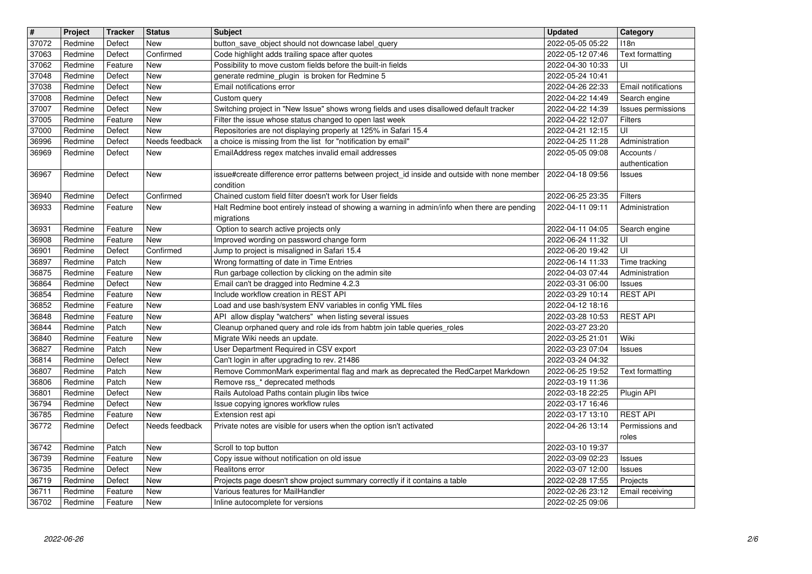| $\overline{\mathbf{H}}$ | Project            | <b>Tracker</b>     | <b>Status</b>            | <b>Subject</b>                                                                                                                   | <b>Updated</b>                       | Category                             |
|-------------------------|--------------------|--------------------|--------------------------|----------------------------------------------------------------------------------------------------------------------------------|--------------------------------------|--------------------------------------|
| 37072<br>37063          | Redmine<br>Redmine | Defect<br>Defect   | <b>New</b><br>Confirmed  | button_save_object should not downcase label_query<br>Code highlight adds trailing space after quotes                            | 2022-05-05 05:22<br>2022-05-12 07:46 | 118n<br>Text formatting              |
| 37062                   | Redmine            | Feature            | New                      | Possibility to move custom fields before the built-in fields                                                                     | 2022-04-30 10:33                     | UI                                   |
| 37048                   | Redmine            | Defect             | <b>New</b>               | generate redmine_plugin is broken for Redmine 5                                                                                  | 2022-05-24 10:41                     |                                      |
| 37038<br>37008          | Redmine<br>Redmine | Defect<br>Defect   | New<br><b>New</b>        | Email notifications error<br>Custom query                                                                                        | 2022-04-26 22:33<br>2022-04-22 14:49 | Email notifications<br>Search engine |
| 37007                   | Redmine            | Defect             | <b>New</b>               | Switching project in "New Issue" shows wrong fields and uses disallowed default tracker                                          | 2022-04-22 14:39                     | Issues permissions                   |
| 37005                   | Redmine            | Feature            | <b>New</b>               | Filter the issue whose status changed to open last week                                                                          | 2022-04-22 12:07                     | Filters                              |
| 37000<br>36996          | Redmine<br>Redmine | Defect<br>Defect   | New<br>Needs feedback    | Repositories are not displaying properly at 125% in Safari 15.4<br>a choice is missing from the list for "notification by email" | 2022-04-21 12:15<br>2022-04-25 11:28 | UI<br>Administration                 |
| 36969                   | Redmine            | Defect             | New                      | EmailAddress regex matches invalid email addresses                                                                               | 2022-05-05 09:08                     | Accounts /                           |
| 36967                   | Redmine            | Defect             | <b>New</b>               | issue#create difference error patterns between project_id inside and outside with none member                                    | 2022-04-18 09:56                     | authentication<br>Issues             |
|                         |                    |                    |                          | condition                                                                                                                        |                                      |                                      |
| 36940                   | Redmine            | Defect             | Confirmed                | Chained custom field filter doesn't work for User fields                                                                         | 2022-06-25 23:35                     | Filters                              |
| 36933                   | Redmine            | Feature            | New                      | Halt Redmine boot entirely instead of showing a warning in admin/info when there are pending<br>migrations                       | 2022-04-11 09:11                     | Administration                       |
| 36931                   | Redmine            | Feature            | <b>New</b>               | Option to search active projects only                                                                                            | 2022-04-11 04:05                     | Search engine                        |
| 36908                   | Redmine            | Feature            | New                      | Improved wording on password change form                                                                                         | 2022-06-24 11:32                     | UI                                   |
| 36901<br>36897          | Redmine<br>Redmine | Defect<br>Patch    | Confirmed<br>New         | Jump to project is misaligned in Safari 15.4<br>Wrong formatting of date in Time Entries                                         | 2022-06-20 19:42<br>2022-06-14 11:33 | UI<br>Time tracking                  |
| 36875                   | Redmine            | Feature            | <b>New</b>               | Run garbage collection by clicking on the admin site                                                                             | 2022-04-03 07:44                     | Administration                       |
| 36864                   | Redmine            | Defect             | <b>New</b><br><b>New</b> | Email can't be dragged into Redmine 4.2.3<br>Include workflow creation in REST API                                               | 2022-03-31 06:00                     | Issues<br><b>REST API</b>            |
| 36854<br>36852          | Redmine<br>Redmine | Feature<br>Feature | New                      | Load and use bash/system ENV variables in config YML files                                                                       | 2022-03-29 10:14<br>2022-04-12 18:16 |                                      |
| 36848                   | Redmine            | Feature            | <b>New</b>               | API allow display "watchers" when listing several issues                                                                         | 2022-03-28 10:53                     | <b>REST API</b>                      |
| 36844<br>36840          | Redmine<br>Redmine | Patch<br>Feature   | New<br>New               | Cleanup orphaned query and role ids from habtm join table queries_roles<br>Migrate Wiki needs an update.                         | 2022-03-27 23:20<br>2022-03-25 21:01 | Wiki                                 |
| 36827                   | Redmine            | Patch              | <b>New</b>               | User Department Required in CSV export                                                                                           | 2022-03-23 07:04                     | Issues                               |
| 36814                   | Redmine            | Defect             | New                      | Can't login in after upgrading to rev. 21486                                                                                     | 2022-03-24 04:32                     |                                      |
| 36807<br>36806          | Redmine<br>Redmine | Patch<br>Patch     | New<br><b>New</b>        | Remove CommonMark experimental flag and mark as deprecated the RedCarpet Markdown<br>Remove rss_* deprecated methods             | 2022-06-25 19:52<br>2022-03-19 11:36 | Text formatting                      |
| 36801                   | Redmine            | Defect             | New                      | Rails Autoload Paths contain plugin libs twice                                                                                   | 2022-03-18 22:25                     | Plugin API                           |
| 36794                   | Redmine            | Defect             | New                      | Issue copying ignores workflow rules                                                                                             | 2022-03-17 16:46                     |                                      |
| 36785<br>36772          | Redmine<br>Redmine | Feature<br>Defect  | New<br>Needs feedback    | Extension rest api<br>Private notes are visible for users when the option isn't activated                                        | 2022-03-17 13:10<br>2022-04-26 13:14 | <b>REST API</b><br>Permissions and   |
|                         |                    |                    |                          |                                                                                                                                  |                                      | roles                                |
| 36742                   | Redmine            | Patch              | New                      | Scroll to top button                                                                                                             | 2022-03-10 19:37                     |                                      |
| 36739<br>36735          | Redmine<br>Redmine | Feature<br>Defect  | New<br>New               | Copy issue without notification on old issue<br>Realitons error                                                                  | 2022-03-09 02:23<br>2022-03-07 12:00 | <b>Issues</b><br><b>Issues</b>       |
| 36719                   | Redmine            | Defect             | New                      | Projects page doesn't show project summary correctly if it contains a table                                                      | 2022-02-28 17:55                     | Projects                             |
| 36711<br>36702          | Redmine<br>Redmine | Feature<br>Feature | New<br>New               | Various features for MailHandler<br>Inline autocomplete for versions                                                             | 2022-02-26 23:12<br>2022-02-25 09:06 | Email receiving                      |
|                         |                    |                    |                          |                                                                                                                                  |                                      |                                      |
|                         |                    |                    |                          |                                                                                                                                  |                                      |                                      |
|                         |                    |                    |                          |                                                                                                                                  |                                      |                                      |
|                         |                    |                    |                          |                                                                                                                                  |                                      |                                      |
|                         |                    |                    |                          |                                                                                                                                  |                                      |                                      |
|                         |                    |                    |                          |                                                                                                                                  |                                      |                                      |
|                         |                    |                    |                          |                                                                                                                                  |                                      |                                      |
|                         |                    |                    |                          |                                                                                                                                  |                                      |                                      |
|                         |                    |                    |                          |                                                                                                                                  |                                      |                                      |
|                         |                    |                    |                          |                                                                                                                                  |                                      |                                      |
|                         |                    |                    |                          |                                                                                                                                  |                                      |                                      |
|                         |                    |                    |                          |                                                                                                                                  |                                      |                                      |
|                         |                    |                    |                          |                                                                                                                                  |                                      |                                      |
|                         |                    |                    |                          |                                                                                                                                  |                                      |                                      |
|                         |                    |                    |                          |                                                                                                                                  |                                      |                                      |
|                         |                    |                    |                          |                                                                                                                                  |                                      |                                      |
|                         |                    |                    |                          |                                                                                                                                  |                                      |                                      |
|                         |                    |                    |                          |                                                                                                                                  |                                      |                                      |
|                         |                    |                    |                          |                                                                                                                                  |                                      |                                      |
|                         |                    |                    |                          |                                                                                                                                  |                                      |                                      |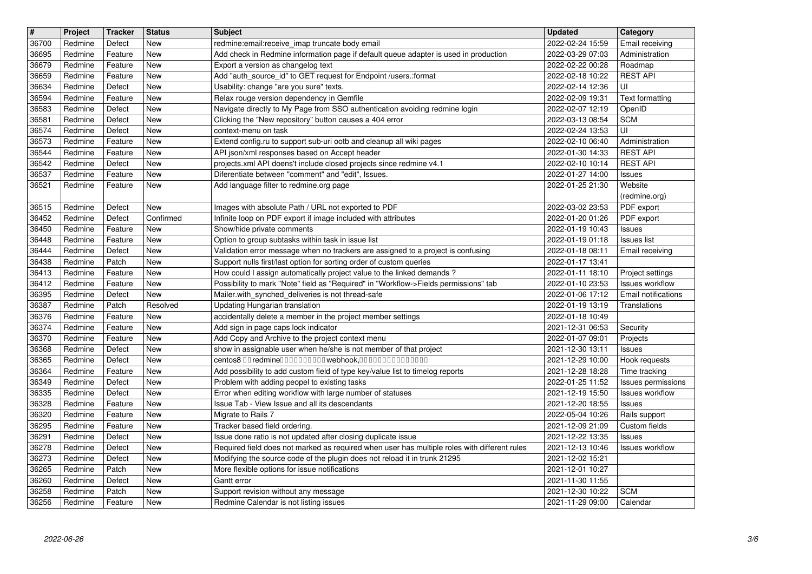| $\overline{\mathbf{H}}$ | Project            | <b>Tracker</b>     | <b>Status</b>            | <b>Subject</b>                                                                                                                               | <b>Updated</b>                       | Category                                   |
|-------------------------|--------------------|--------------------|--------------------------|----------------------------------------------------------------------------------------------------------------------------------------------|--------------------------------------|--------------------------------------------|
| 36700<br>36695          | Redmine<br>Redmine | Defect<br>Feature  | New<br>New               | redmine: email: receive imap truncate body email<br>Add check in Redmine information page if default queue adapter is used in production     | 2022-02-24 15:59<br>2022-03-29 07:03 | Email receiving<br>Administration          |
| 36679                   | Redmine            | Feature            | New                      | Export a version as changelog text                                                                                                           | 2022-02-22 00:28                     | Roadmap<br><b>REST API</b>                 |
| 36659<br>36634          | Redmine<br>Redmine | Feature<br>Defect  | <b>New</b><br><b>New</b> | Add "auth_source_id" to GET request for Endpoint /users.:format<br>Usability: change "are you sure" texts.                                   | 2022-02-18 10:22<br>2022-02-14 12:36 | UI                                         |
| 36594                   | Redmine            | Feature            | <b>New</b>               | Relax rouge version dependency in Gemfile                                                                                                    | 2022-02-09 19:31                     | Text formatting                            |
| 36583<br>36581          | Redmine<br>Redmine | Defect<br>Defect   | New<br><b>New</b>        | Navigate directly to My Page from SSO authentication avoiding redmine login<br>Clicking the "New repository" button causes a 404 error       | 2022-02-07 12:19<br>2022-03-13 08:54 | OpenID<br><b>SCM</b>                       |
| 36574                   | Redmine            | Defect             | New                      | context-menu on task                                                                                                                         | 2022-02-24 13:53                     | UI                                         |
| 36573<br>36544          | Redmine<br>Redmine | Feature<br>Feature | New<br><b>New</b>        | Extend config.ru to support sub-uri ootb and cleanup all wiki pages<br>API json/xml responses based on Accept header                         | 2022-02-10 06:40<br>2022-01-30 14:33 | Administration<br><b>REST API</b>          |
| 36542                   | Redmine            | Defect             | New                      | projects.xml API doens't include closed projects since redmine v4.1                                                                          | 2022-02-10 10:14                     | <b>REST API</b>                            |
| 36537<br>36521          | Redmine<br>Redmine | Feature<br>Feature | <b>New</b><br>New        | Diferentiate between "comment" and "edit", Issues.<br>Add language filter to redmine.org page                                                | 2022-01-27 14:00<br>2022-01-25 21:30 | Issues<br>Website                          |
|                         | Redmine            |                    | New                      | Images with absolute Path / URL not exported to PDF                                                                                          | 2022-03-02 23:53                     | (redmine.org)                              |
| 36515<br>36452          | Redmine            | Defect<br>Defect   | Confirmed                | Infinite loop on PDF export if image included with attributes                                                                                | 2022-01-20 01:26                     | PDF export<br>PDF export                   |
| 36450<br>36448          | Redmine            | Feature            | <b>New</b><br>New        | Show/hide private comments                                                                                                                   | 2022-01-19 10:43<br>2022-01-19 01:18 | Issues<br><b>Issues list</b>               |
| 36444                   | Redmine<br>Redmine | Feature<br>Defect  | New                      | Option to group subtasks within task in issue list<br>Validation error message when no trackers are assigned to a project is confusing       | 2022-01-18 08:11                     | Email receiving                            |
| 36438<br>36413          | Redmine<br>Redmine | Patch<br>Feature   | New<br><b>New</b>        | Support nulls first/last option for sorting order of custom queries<br>How could I assign automatically project value to the linked demands? | 2022-01-17 13:41<br>2022-01-11 18:10 |                                            |
| 36412                   | Redmine            | Feature            | <b>New</b>               | Possibility to mark "Note" field as "Required" in "Workflow->Fields permissions" tab                                                         | 2022-01-10 23:53                     | Project settings<br><b>Issues workflow</b> |
| 36395<br>36387          | Redmine<br>Redmine | Defect<br>Patch    | New<br>Resolved          | Mailer.with_synched_deliveries is not thread-safe<br>Updating Hungarian translation                                                          | 2022-01-06 17:12<br>2022-01-19 13:19 | Email notifications<br>Translations        |
| 36376                   | Redmine            | Feature            | <b>New</b>               | accidentally delete a member in the project member settings                                                                                  | 2022-01-18 10:49                     |                                            |
| 36374<br>36370          | Redmine<br>Redmine | Feature<br>Feature | <b>New</b><br>New        | Add sign in page caps lock indicator<br>Add Copy and Archive to the project context menu                                                     | 2021-12-31 06:53<br>2022-01-07 09:01 | Security<br>Projects                       |
| 36368                   | Redmine            | Defect             | <b>New</b>               | show in assignable user when he/she is not member of that project                                                                            | 2021-12-30 13:11                     | <b>Issues</b>                              |
| 36365<br>36364          | Redmine<br>Redmine | Defect<br>Feature  | New<br><b>New</b>        | centos8 00 redmine0000000000 webhook,000000000000000<br>Add possibility to add custom field of type key/value list to timelog reports        | 2021-12-29 10:00<br>2021-12-28 18:28 | Hook requests<br>Time tracking             |
| 36349                   | Redmine            | Defect             | <b>New</b>               | Problem with adding peopel to existing tasks                                                                                                 | 2022-01-25 11:52                     | Issues permissions                         |
| 36335<br>36328          | Redmine<br>Redmine | Defect<br>Feature  | New<br>New               | Error when editing workflow with large number of statuses<br>Issue Tab - View Issue and all its descendants                                  | 2021-12-19 15:50<br>2021-12-20 18:55 | <b>Issues workflow</b><br>Issues           |
| 36320                   | Redmine            | Feature            | New                      | Migrate to Rails 7                                                                                                                           | 2022-05-04 10:26                     | Rails support                              |
| 36295<br>36291          | Redmine<br>Redmine | Feature<br>Defect  | New<br>New               | Tracker based field ordering.<br>Issue done ratio is not updated after closing duplicate issue                                               | 2021-12-09 21:09<br>2021-12-22 13:35 | Custom fields<br>Issues                    |
| 36278                   | Redmine            | Defect             | New                      | Required field does not marked as required when user has multiple roles with different rules                                                 | 2021-12-13 10:46                     | Issues workflow                            |
| 36273<br>36265          | Redmine<br>Redmine | Defect<br>Patch    | New<br>New               | Modifying the source code of the plugin does not reload it in trunk 21295<br>More flexible options for issue notifications                   | 2021-12-02 15:21<br>2021-12-01 10:27 |                                            |
| 36260                   | Redmine            | Defect             | New                      | Gantt error                                                                                                                                  | 2021-11-30 11:55                     |                                            |
| 36258<br>36256          | Redmine<br>Redmine | Patch<br>Feature   | New<br>New               | Support revision without any message<br>Redmine Calendar is not listing issues                                                               | 2021-12-30 10:22<br>2021-11-29 09:00 | <b>SCM</b><br>Calendar                     |
|                         |                    |                    |                          |                                                                                                                                              |                                      |                                            |
|                         |                    |                    |                          |                                                                                                                                              |                                      |                                            |
|                         |                    |                    |                          |                                                                                                                                              |                                      |                                            |
|                         |                    |                    |                          |                                                                                                                                              |                                      |                                            |
|                         |                    |                    |                          |                                                                                                                                              |                                      |                                            |
|                         |                    |                    |                          |                                                                                                                                              |                                      |                                            |
|                         |                    |                    |                          |                                                                                                                                              |                                      |                                            |
|                         |                    |                    |                          |                                                                                                                                              |                                      |                                            |
|                         |                    |                    |                          |                                                                                                                                              |                                      |                                            |
|                         |                    |                    |                          |                                                                                                                                              |                                      |                                            |
|                         |                    |                    |                          |                                                                                                                                              |                                      |                                            |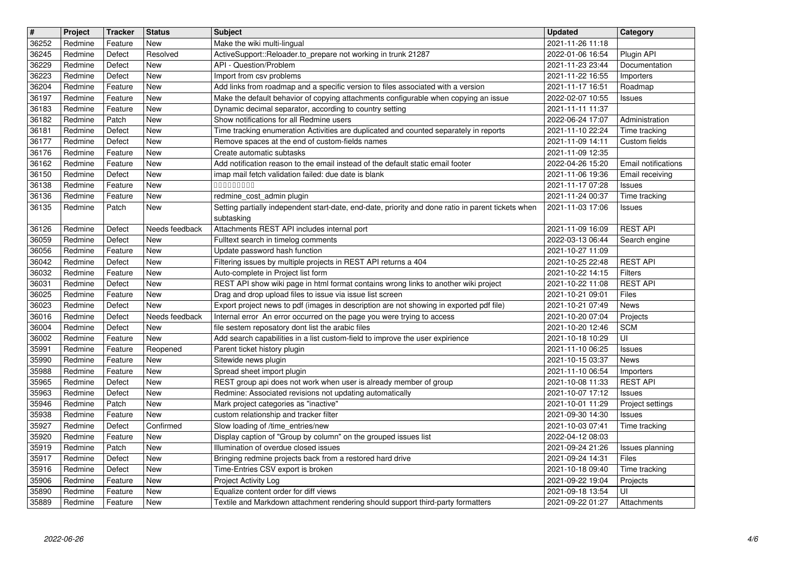| $\overline{\mathbf{H}}$ | Project            | <b>Tracker</b>     | <b>Status</b>     | <b>Subject</b>                                                                                                                                                          | <b>Updated</b>                       | Category                                      |
|-------------------------|--------------------|--------------------|-------------------|-------------------------------------------------------------------------------------------------------------------------------------------------------------------------|--------------------------------------|-----------------------------------------------|
| 36252<br>36245          | Redmine<br>Redmine | Feature<br>Defect  | New<br>Resolved   | Make the wiki multi-lingual<br>ActiveSupport::Reloader.to_prepare not working in trunk 21287                                                                            | 2021-11-26 11:18<br>2022-01-06 16:54 | Plugin API                                    |
| 36229                   | Redmine            | Defect             | New               | API - Question/Problem                                                                                                                                                  | 2021-11-23 23:44                     | Documentation                                 |
| 36223                   | Redmine            | Defect             | <b>New</b>        | Import from csv problems                                                                                                                                                | 2021-11-22 16:55                     | Importers                                     |
| 36204<br>36197          | Redmine<br>Redmine | Feature<br>Feature | New<br>New        | Add links from roadmap and a specific version to files associated with a version<br>Make the default behavior of copying attachments configurable when copying an issue | 2021-11-17 16:51<br>2022-02-07 10:55 | Roadmap<br><b>Issues</b>                      |
| 36183                   | Redmine            | Feature            | New               | Dynamic decimal separator, according to country setting                                                                                                                 | 2021-11-11 11:37                     |                                               |
| 36182                   | Redmine            | Patch              | New               | Show notifications for all Redmine users                                                                                                                                | 2022-06-24 17:07                     | Administration                                |
| 36181<br>36177          | Redmine<br>Redmine | Defect<br>Defect   | New<br><b>New</b> | Time tracking enumeration Activities are duplicated and counted separately in reports<br>Remove spaces at the end of custom-fields names                                | 2021-11-10 22:24<br>2021-11-09 14:11 | Time tracking<br>Custom fields                |
| 36176                   | Redmine            | Feature            | <b>New</b>        | Create automatic subtasks                                                                                                                                               | 2021-11-09 12:35                     |                                               |
| 36162<br>36150          | Redmine<br>Redmine | Feature<br>Defect  | New<br><b>New</b> | Add notification reason to the email instead of the default static email footer<br>imap mail fetch validation failed: due date is blank                                 | 2022-04-26 15:20<br>2021-11-06 19:36 | <b>Email notifications</b><br>Email receiving |
| 36138                   | Redmine            | Feature            | New               | 00000000                                                                                                                                                                | 2021-11-17 07:28                     | <b>Issues</b>                                 |
| 36136                   | Redmine            | Feature            | <b>New</b>        | redmine_cost_admin plugin                                                                                                                                               | 2021-11-24 00:37                     | Time tracking                                 |
| 36135                   | Redmine            | Patch              | New               | Setting partially independent start-date, end-date, priority and done ratio in parent tickets when<br>subtasking                                                        | 2021-11-03 17:06                     | <b>Issues</b>                                 |
| 36126                   | Redmine            | Defect             | Needs feedback    | Attachments REST API includes internal port                                                                                                                             | 2021-11-09 16:09                     | <b>REST API</b>                               |
| 36059                   | Redmine            | Defect             | New               | Fulltext search in timelog comments                                                                                                                                     | 2022-03-13 06:44                     | Search engine                                 |
| 36056<br>36042          | Redmine<br>Redmine | Feature<br>Defect  | New<br><b>New</b> | Update password hash function<br>Filtering issues by multiple projects in REST API returns a 404                                                                        | 2021-10-27 11:09<br>2021-10-25 22:48 | <b>REST API</b>                               |
| 36032                   | Redmine            | Feature            | New               | Auto-complete in Project list form                                                                                                                                      | 2021-10-22 14:15                     | Filters                                       |
| 36031                   | Redmine            | Defect             | <b>New</b>        | REST API show wiki page in html format contains wrong links to another wiki project                                                                                     | 2021-10-22 11:08                     | <b>REST API</b><br>Files                      |
| 36025<br>36023          | Redmine<br>Redmine | Feature<br>Defect  | New<br>New        | Drag and drop upload files to issue via issue list screen<br>Export project news to pdf (images in description are not showing in exported pdf file)                    | 2021-10-21 09:01<br>2021-10-21 07:49 | News                                          |
| 36016                   | Redmine            | Defect             | Needs feedback    | Internal error An error occurred on the page you were trying to access                                                                                                  | 2021-10-20 07:04                     | Projects                                      |
| 36004<br>36002          | Redmine<br>Redmine | Defect             | New<br>New        | file sestem reposatory dont list the arabic files                                                                                                                       | 2021-10-20 12:46<br>2021-10-18 10:29 | <b>SCM</b><br>UI                              |
| 35991                   | Redmine            | Feature<br>Feature | Reopened          | Add search capabilities in a list custom-field to improve the user expirience<br>Parent ticket history plugin                                                           | 2021-11-10 06:25                     | Issues                                        |
| 35990                   | Redmine            | Feature            | New               | Sitewide news plugin                                                                                                                                                    | 2021-10-15 03:37                     | News                                          |
| 35988<br>35965          | Redmine<br>Redmine | Feature<br>Defect  | <b>New</b><br>New | Spread sheet import plugin<br>REST group api does not work when user is already member of group                                                                         | 2021-11-10 06:54<br>2021-10-08 11:33 | Importers<br><b>REST API</b>                  |
| 35963                   | Redmine            | Defect             | New               | Redmine: Associated revisions not updating automatically                                                                                                                | 2021-10-07 17:12                     | <b>Issues</b>                                 |
| 35946                   | Redmine            | Patch              | New               | Mark project categories as "inactive"                                                                                                                                   | 2021-10-01 11:29                     | Project settings                              |
| 35938<br>35927          | Redmine<br>Redmine | Feature<br>Defect  | New<br>Confirmed  | custom relationship and tracker filter<br>Slow loading of /time_entries/new                                                                                             | 2021-09-30 14:30<br>2021-10-03 07:41 | Issues<br>Time tracking                       |
| 35920                   | Redmine            | Feature            | New               | Display caption of "Group by column" on the grouped issues list                                                                                                         | 2022-04-12 08:03                     |                                               |
| 35919                   | Redmine            | Patch              | New               | Illumination of overdue closed issues<br>Bringing redmine projects back from a restored hard drive                                                                      | 2021-09-24 21:26                     | Issues planning                               |
| 35917<br>35916          | Redmine<br>Redmine | Defect<br>Defect   | New<br>New        | Time-Entries CSV export is broken                                                                                                                                       | 2021-09-24 14:31<br>2021-10-18 09:40 | Files<br>Time tracking                        |
| 35906                   | Redmine            | Feature            | New               | Project Activity Log                                                                                                                                                    | 2021-09-22 19:04                     | Projects                                      |
| 35890<br>35889          | Redmine<br>Redmine | Feature<br>Feature | New<br>New        | Equalize content order for diff views<br>Textile and Markdown attachment rendering should support third-party formatters                                                | 2021-09-18 13:54<br>2021-09-22 01:27 | UI<br>Attachments                             |
|                         |                    |                    |                   |                                                                                                                                                                         |                                      |                                               |
|                         |                    |                    |                   |                                                                                                                                                                         |                                      |                                               |
|                         |                    |                    |                   |                                                                                                                                                                         |                                      |                                               |
|                         |                    |                    |                   |                                                                                                                                                                         |                                      |                                               |
|                         |                    |                    |                   |                                                                                                                                                                         |                                      |                                               |
|                         |                    |                    |                   |                                                                                                                                                                         |                                      |                                               |
|                         |                    |                    |                   |                                                                                                                                                                         |                                      |                                               |
|                         |                    |                    |                   |                                                                                                                                                                         |                                      |                                               |
|                         |                    |                    |                   |                                                                                                                                                                         |                                      |                                               |
|                         |                    |                    |                   |                                                                                                                                                                         |                                      |                                               |
|                         |                    |                    |                   |                                                                                                                                                                         |                                      |                                               |
|                         |                    |                    |                   |                                                                                                                                                                         |                                      |                                               |
|                         |                    |                    |                   |                                                                                                                                                                         |                                      |                                               |
|                         |                    |                    |                   |                                                                                                                                                                         |                                      |                                               |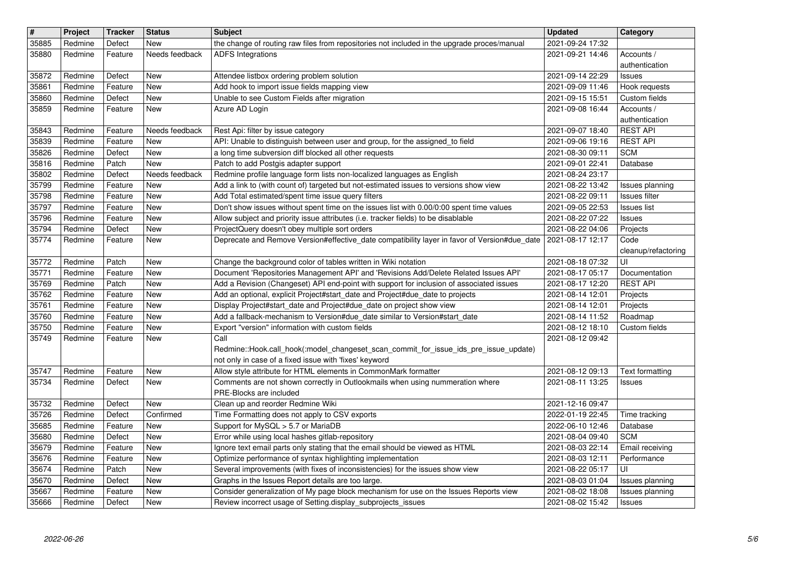| $\sqrt{\frac{4}{15}}$ | Project            | <b>Tracker</b>     | <b>Status</b>     | <b>Subject</b>                                                                                                                                                                 | <b>Updated</b>                       | Category                            |
|-----------------------|--------------------|--------------------|-------------------|--------------------------------------------------------------------------------------------------------------------------------------------------------------------------------|--------------------------------------|-------------------------------------|
| 35885                 | Redmine            | Defect             | New               | the change of routing raw files from repositories not included in the upgrade proces/manual                                                                                    | 2021-09-24 17:32                     |                                     |
| 35880                 | Redmine            | Feature            | Needs feedback    | <b>ADFS</b> Integrations                                                                                                                                                       | 2021-09-21 14:46                     | Accounts /<br>authentication        |
| 35872                 | Redmine            | Defect             | New               | Attendee listbox ordering problem solution                                                                                                                                     | 2021-09-14 22:29                     | Issues                              |
| 35861                 | Redmine            | Feature            | New               | Add hook to import issue fields mapping view                                                                                                                                   | 2021-09-09 11:46                     | Hook requests                       |
| 35860                 | Redmine            | Defect             | New               | Unable to see Custom Fields after migration                                                                                                                                    | 2021-09-15 15:51                     | Custom fields                       |
| 35859                 | Redmine            | Feature            | New               | Azure AD Login                                                                                                                                                                 | 2021-09-08 16:44                     | Accounts /<br>authentication        |
| 35843                 | Redmine            | Feature            | Needs feedback    | Rest Api: filter by issue category                                                                                                                                             | 2021-09-07 18:40                     | <b>REST API</b>                     |
| 35839                 | Redmine            | Feature            | New               | API: Unable to distinguish between user and group, for the assigned_to field                                                                                                   | 2021-09-06 19:16                     | <b>REST API</b>                     |
| 35826<br>35816        | Redmine<br>Redmine | Defect<br>Patch    | New<br><b>New</b> | a long time subversion diff blocked all other requests<br>Patch to add Postgis adapter support                                                                                 | 2021-08-30 09:11<br>2021-09-01 22:41 | <b>SCM</b><br>Database              |
| 35802                 | Redmine            | Defect             | Needs feedback    | Redmine profile language form lists non-localized languages as English                                                                                                         | 2021-08-24 23:17                     |                                     |
| 35799                 | Redmine            | Feature            | New               | Add a link to (with count of) targeted but not-estimated issues to versions show view                                                                                          | 2021-08-22 13:42                     | Issues planning                     |
| 35798                 | Redmine            | Feature            | New               | Add Total estimated/spent time issue query filters                                                                                                                             | 2021-08-22 09:11                     | Issues filter                       |
| 35797<br>35796        | Redmine<br>Redmine | Feature<br>Feature | New<br>New        | Don't show issues without spent time on the issues list with 0.00/0:00 spent time values<br>Allow subject and priority issue attributes (i.e. tracker fields) to be disablable | 2021-09-05 22:53<br>2021-08-22 07:22 | <b>Issues list</b><br><b>Issues</b> |
| 35794                 | Redmine            | Defect             | New               | ProjectQuery doesn't obey multiple sort orders                                                                                                                                 | 2021-08-22 04:06                     | Projects                            |
| 35774                 | Redmine            | Feature            | New               | Deprecate and Remove Version#effective_date compatibility layer in favor of Version#due_date                                                                                   | 2021-08-17 12:17                     | Code                                |
| 35772                 | Redmine            | Patch              | New               | Change the background color of tables written in Wiki notation                                                                                                                 | 2021-08-18 07:32                     | cleanup/refactoring<br>UI           |
| 35771                 | Redmine            | Feature            | New               | Document 'Repositories Management API' and 'Revisions Add/Delete Related Issues API'                                                                                           | 2021-08-17 05:17                     | Documentation                       |
| 35769                 | Redmine            | Patch              | New               | Add a Revision (Changeset) API end-point with support for inclusion of associated issues                                                                                       | 2021-08-17 12:20                     | <b>REST API</b>                     |
| 35762                 | Redmine            | Feature            | New               | Add an optional, explicit Project#start_date and Project#due_date to projects                                                                                                  | 2021-08-14 12:01                     | Projects                            |
| 35761<br>35760        | Redmine<br>Redmine | Feature<br>Feature | New<br>New        | Display Project#start_date and Project#due_date on project show view<br>Add a fallback-mechanism to Version#due_date similar to Version#start_date                             | 2021-08-14 12:01<br>2021-08-14 11:52 | Projects<br>Roadmap                 |
| 35750                 | Redmine            | Feature            | New               | Export "version" information with custom fields                                                                                                                                | 2021-08-12 18:10                     | Custom fields                       |
| 35749                 | Redmine            | Feature            | New               | Call                                                                                                                                                                           | 2021-08-12 09:42                     |                                     |
|                       |                    |                    |                   | Redmine::Hook.call_hook(:model_changeset_scan_commit_for_issue_ids_pre_issue_update)<br>not only in case of a fixed issue with 'fixes' keyword                                 |                                      |                                     |
| 35747                 | Redmine            | Feature            | <b>New</b>        | Allow style attribute for HTML elements in CommonMark formatter                                                                                                                | 2021-08-12 09:13                     | Text formatting                     |
| 35734                 | Redmine            | Defect             | New               | Comments are not shown correctly in Outlookmails when using nummeration where                                                                                                  | 2021-08-11 13:25                     | <b>Issues</b>                       |
|                       |                    |                    |                   | PRE-Blocks are included                                                                                                                                                        |                                      |                                     |
| 35732<br>35726        | Redmine<br>Redmine | Defect<br>Defect   | New<br>Confirmed  | Clean up and reorder Redmine Wiki<br>Time Formatting does not apply to CSV exports                                                                                             | 2021-12-16 09:47<br>2022-01-19 22:45 | Time tracking                       |
| 35685                 | Redmine            | Feature            | New               | Support for MySQL > 5.7 or MariaDB                                                                                                                                             | 2022-06-10 12:46                     | Database                            |
| 35680                 | Redmine            | Defect             | New               | Error while using local hashes gitlab-repository                                                                                                                               | 2021-08-04 09:40                     | <b>SCM</b>                          |
| 35679<br>35676        | Redmine<br>Redmine | Feature<br>Feature | New<br>New        | Ignore text email parts only stating that the email should be viewed as HTML<br>Optimize performance of syntax highlighting implementation                                     | 2021-08-03 22:14<br>2021-08-03 12:11 | Email receiving<br>Performance      |
| 35674                 | Redmine            | Patch              | New               | Several improvements (with fixes of inconsistencies) for the issues show view                                                                                                  | 2021-08-22 05:17                     | UI                                  |
| 35670                 | Redmine            | Defect             | New               | Graphs in the Issues Report details are too large.                                                                                                                             | 2021-08-03 01:04                     | Issues planning                     |
| 35667<br>35666        | Redmine<br>Redmine | Feature<br>Defect  | New<br>New        | Consider generalization of My page block mechanism for use on the Issues Reports view<br>Review incorrect usage of Setting display_subprojects_issues                          | 2021-08-02 18:08<br>2021-08-02 15:42 | Issues planning<br><b>Issues</b>    |
|                       |                    |                    |                   |                                                                                                                                                                                |                                      |                                     |
|                       |                    |                    |                   |                                                                                                                                                                                |                                      |                                     |
|                       |                    |                    |                   |                                                                                                                                                                                |                                      |                                     |
|                       |                    |                    |                   |                                                                                                                                                                                |                                      |                                     |
|                       |                    |                    |                   |                                                                                                                                                                                |                                      |                                     |
|                       |                    |                    |                   |                                                                                                                                                                                |                                      |                                     |
|                       |                    |                    |                   |                                                                                                                                                                                |                                      |                                     |
|                       |                    |                    |                   |                                                                                                                                                                                |                                      |                                     |
|                       |                    |                    |                   |                                                                                                                                                                                |                                      |                                     |
|                       |                    |                    |                   |                                                                                                                                                                                |                                      |                                     |
|                       |                    |                    |                   |                                                                                                                                                                                |                                      |                                     |
|                       |                    |                    |                   |                                                                                                                                                                                |                                      |                                     |
|                       |                    |                    |                   |                                                                                                                                                                                |                                      |                                     |
|                       |                    |                    |                   |                                                                                                                                                                                |                                      |                                     |
|                       |                    |                    |                   |                                                                                                                                                                                |                                      |                                     |
|                       |                    |                    |                   |                                                                                                                                                                                |                                      |                                     |
|                       |                    |                    |                   |                                                                                                                                                                                |                                      |                                     |
|                       |                    |                    |                   |                                                                                                                                                                                |                                      |                                     |
|                       |                    |                    |                   |                                                                                                                                                                                |                                      |                                     |
|                       |                    |                    |                   |                                                                                                                                                                                |                                      |                                     |
|                       |                    |                    |                   |                                                                                                                                                                                |                                      |                                     |